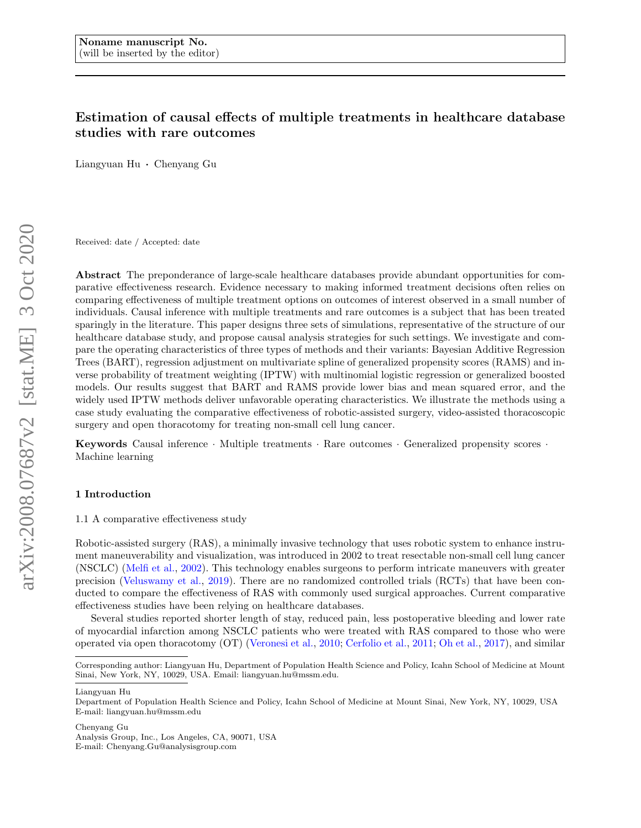# Estimation of causal effects of multiple treatments in healthcare database studies with rare outcomes

Liangyuan Hu · Chenyang Gu

Received: date / Accepted: date

Abstract The preponderance of large-scale healthcare databases provide abundant opportunities for comparative effectiveness research. Evidence necessary to making informed treatment decisions often relies on comparing effectiveness of multiple treatment options on outcomes of interest observed in a small number of individuals. Causal inference with multiple treatments and rare outcomes is a subject that has been treated sparingly in the literature. This paper designs three sets of simulations, representative of the structure of our healthcare database study, and propose causal analysis strategies for such settings. We investigate and compare the operating characteristics of three types of methods and their variants: Bayesian Additive Regression Trees (BART), regression adjustment on multivariate spline of generalized propensity scores (RAMS) and inverse probability of treatment weighting (IPTW) with multinomial logistic regression or generalized boosted models. Our results suggest that BART and RAMS provide lower bias and mean squared error, and the widely used IPTW methods deliver unfavorable operating characteristics. We illustrate the methods using a case study evaluating the comparative effectiveness of robotic-assisted surgery, video-assisted thoracoscopic surgery and open thoracotomy for treating non-small cell lung cancer.

Keywords Causal inference · Multiple treatments · Rare outcomes · Generalized propensity scores · Machine learning

# 1 Introduction

1.1 A comparative effectiveness study

Robotic-assisted surgery (RAS), a minimally invasive technology that uses robotic system to enhance instrument maneuverability and visualization, was introduced in 2002 to treat resectable non-small cell lung cancer (NSCLC) [\(Melfi et al.,](#page-15-0) [2002\)](#page-15-0). This technology enables surgeons to perform intricate maneuvers with greater precision [\(Veluswamy et al.,](#page-15-1) [2019\)](#page-15-1). There are no randomized controlled trials (RCTs) that have been conducted to compare the effectiveness of RAS with commonly used surgical approaches. Current comparative effectiveness studies have been relying on healthcare databases.

Several studies reported shorter length of stay, reduced pain, less postoperative bleeding and lower rate of myocardial infarction among NSCLC patients who were treated with RAS compared to those who were operated via open thoracotomy (OT) [\(Veronesi et al.,](#page-15-2) [2010;](#page-15-2) [Cerfolio et al.,](#page-14-0) [2011;](#page-14-0) [Oh et al.,](#page-15-3) [2017\)](#page-15-3), and similar

Chenyang Gu

Analysis Group, Inc., Los Angeles, CA, 90071, USA

Corresponding author: Liangyuan Hu, Department of Population Health Science and Policy, Icahn School of Medicine at Mount Sinai, New York, NY, 10029, USA. Email: liangyuan.hu@mssm.edu.

Liangyuan Hu

Department of Population Health Science and Policy, Icahn School of Medicine at Mount Sinai, New York, NY, 10029, USA E-mail: liangyuan.hu@mssm.edu

E-mail: Chenyang.Gu@analysisgroup.com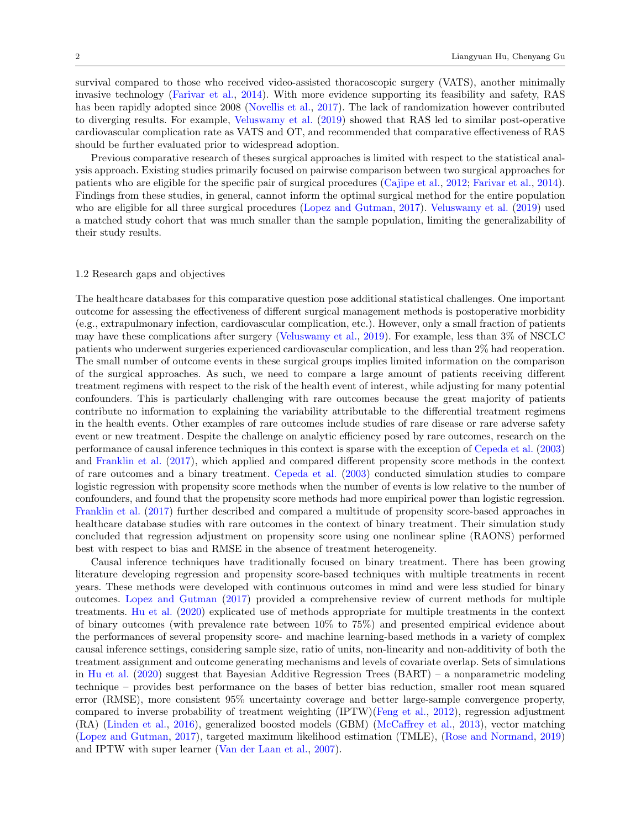survival compared to those who received video-assisted thoracoscopic surgery (VATS), another minimally invasive technology [\(Farivar et al.,](#page-14-1) [2014\)](#page-14-1). With more evidence supporting its feasibility and safety, RAS has been rapidly adopted since 2008 [\(Novellis et al.,](#page-15-4) [2017\)](#page-15-4). The lack of randomization however contributed to diverging results. For example, [Veluswamy et al.](#page-15-1) [\(2019\)](#page-15-1) showed that RAS led to similar post-operative cardiovascular complication rate as VATS and OT, and recommended that comparative effectiveness of RAS should be further evaluated prior to widespread adoption.

Previous comparative research of theses surgical approaches is limited with respect to the statistical analysis approach. Existing studies primarily focused on pairwise comparison between two surgical approaches for patients who are eligible for the specific pair of surgical procedures [\(Cajipe et al.,](#page-14-2) [2012;](#page-14-2) [Farivar et al.,](#page-14-1) [2014\)](#page-14-1). Findings from these studies, in general, cannot inform the optimal surgical method for the entire population who are eligible for all three surgical procedures [\(Lopez and Gutman,](#page-15-5) [2017\)](#page-15-5). [Veluswamy et al.](#page-15-1) [\(2019\)](#page-15-1) used a matched study cohort that was much smaller than the sample population, limiting the generalizability of their study results.

## 1.2 Research gaps and objectives

The healthcare databases for this comparative question pose additional statistical challenges. One important outcome for assessing the effectiveness of different surgical management methods is postoperative morbidity (e.g., extrapulmonary infection, cardiovascular complication, etc.). However, only a small fraction of patients may have these complications after surgery [\(Veluswamy et al.,](#page-15-1) [2019\)](#page-15-1). For example, less than 3% of NSCLC patients who underwent surgeries experienced cardiovascular complication, and less than 2% had reoperation. The small number of outcome events in these surgical groups implies limited information on the comparison of the surgical approaches. As such, we need to compare a large amount of patients receiving different treatment regimens with respect to the risk of the health event of interest, while adjusting for many potential confounders. This is particularly challenging with rare outcomes because the great majority of patients contribute no information to explaining the variability attributable to the differential treatment regimens in the health events. Other examples of rare outcomes include studies of rare disease or rare adverse safety event or new treatment. Despite the challenge on analytic efficiency posed by rare outcomes, research on the performance of causal inference techniques in this context is sparse with the exception of [Cepeda et al.](#page-14-3) [\(2003\)](#page-14-3) and [Franklin et al.](#page-14-4) [\(2017\)](#page-14-4), which applied and compared different propensity score methods in the context of rare outcomes and a binary treatment. [Cepeda et al.](#page-14-3) [\(2003\)](#page-14-3) conducted simulation studies to compare logistic regression with propensity score methods when the number of events is low relative to the number of confounders, and found that the propensity score methods had more empirical power than logistic regression. [Franklin et al.](#page-14-4) [\(2017\)](#page-14-4) further described and compared a multitude of propensity score-based approaches in healthcare database studies with rare outcomes in the context of binary treatment. Their simulation study concluded that regression adjustment on propensity score using one nonlinear spline (RAONS) performed best with respect to bias and RMSE in the absence of treatment heterogeneity.

Causal inference techniques have traditionally focused on binary treatment. There has been growing literature developing regression and propensity score-based techniques with multiple treatments in recent years. These methods were developed with continuous outcomes in mind and were less studied for binary outcomes. [Lopez and Gutman](#page-15-5) [\(2017\)](#page-15-5) provided a comprehensive review of current methods for multiple treatments. [Hu et al.](#page-14-5) [\(2020\)](#page-14-5) explicated use of methods appropriate for multiple treatments in the context of binary outcomes (with prevalence rate between 10% to 75%) and presented empirical evidence about the performances of several propensity score- and machine learning-based methods in a variety of complex causal inference settings, considering sample size, ratio of units, non-linearity and non-additivity of both the treatment assignment and outcome generating mechanisms and levels of covariate overlap. Sets of simulations in [Hu et al.](#page-14-5) [\(2020\)](#page-14-5) suggest that Bayesian Additive Regression Trees (BART) – a nonparametric modeling technique – provides best performance on the bases of better bias reduction, smaller root mean squared error (RMSE), more consistent 95% uncertainty coverage and better large-sample convergence property, compared to inverse probability of treatment weighting (IPTW)[\(Feng et al.,](#page-14-6) [2012\)](#page-14-6), regression adjustment (RA) [\(Linden et al.,](#page-14-7) [2016\)](#page-14-7), generalized boosted models (GBM) [\(McCaffrey et al.,](#page-15-6) [2013\)](#page-15-6), vector matching [\(Lopez and Gutman,](#page-15-5) [2017\)](#page-15-5), targeted maximum likelihood estimation (TMLE), [\(Rose and Normand,](#page-15-7) [2019\)](#page-15-7) and IPTW with super learner [\(Van der Laan et al.,](#page-14-8) [2007\)](#page-14-8).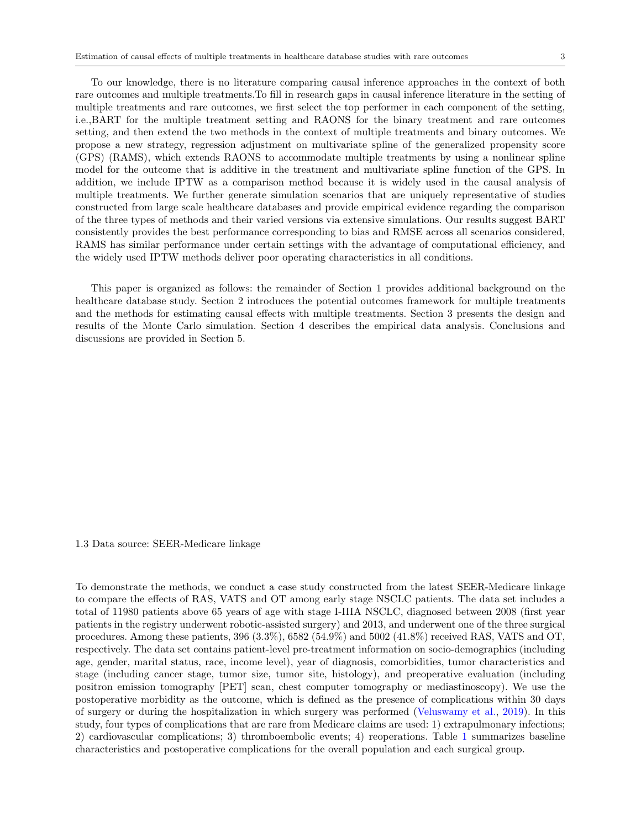To our knowledge, there is no literature comparing causal inference approaches in the context of both rare outcomes and multiple treatments.To fill in research gaps in causal inference literature in the setting of multiple treatments and rare outcomes, we first select the top performer in each component of the setting, i.e.,BART for the multiple treatment setting and RAONS for the binary treatment and rare outcomes setting, and then extend the two methods in the context of multiple treatments and binary outcomes. We propose a new strategy, regression adjustment on multivariate spline of the generalized propensity score (GPS) (RAMS), which extends RAONS to accommodate multiple treatments by using a nonlinear spline model for the outcome that is additive in the treatment and multivariate spline function of the GPS. In addition, we include IPTW as a comparison method because it is widely used in the causal analysis of multiple treatments. We further generate simulation scenarios that are uniquely representative of studies constructed from large scale healthcare databases and provide empirical evidence regarding the comparison of the three types of methods and their varied versions via extensive simulations. Our results suggest BART consistently provides the best performance corresponding to bias and RMSE across all scenarios considered, RAMS has similar performance under certain settings with the advantage of computational efficiency, and the widely used IPTW methods deliver poor operating characteristics in all conditions.

This paper is organized as follows: the remainder of Section 1 provides additional background on the healthcare database study. Section 2 introduces the potential outcomes framework for multiple treatments and the methods for estimating causal effects with multiple treatments. Section 3 presents the design and results of the Monte Carlo simulation. Section 4 describes the empirical data analysis. Conclusions and discussions are provided in Section 5.

1.3 Data source: SEER-Medicare linkage

To demonstrate the methods, we conduct a case study constructed from the latest SEER-Medicare linkage to compare the effects of RAS, VATS and OT among early stage NSCLC patients. The data set includes a total of 11980 patients above 65 years of age with stage I-IIIA NSCLC, diagnosed between 2008 (first year patients in the registry underwent robotic-assisted surgery) and 2013, and underwent one of the three surgical procedures. Among these patients, 396 (3.3%), 6582 (54.9%) and 5002 (41.8%) received RAS, VATS and OT, respectively. The data set contains patient-level pre-treatment information on socio-demographics (including age, gender, marital status, race, income level), year of diagnosis, comorbidities, tumor characteristics and stage (including cancer stage, tumor size, tumor site, histology), and preoperative evaluation (including positron emission tomography [PET] scan, chest computer tomography or mediastinoscopy). We use the postoperative morbidity as the outcome, which is defined as the presence of complications within 30 days of surgery or during the hospitalization in which surgery was performed [\(Veluswamy et al.,](#page-15-1) [2019\)](#page-15-1). In this study, four types of complications that are rare from Medicare claims are used: 1) extrapulmonary infections; 2) cardiovascular complications; 3) thromboembolic events; 4) reoperations. Table [1](#page-3-0) summarizes baseline characteristics and postoperative complications for the overall population and each surgical group.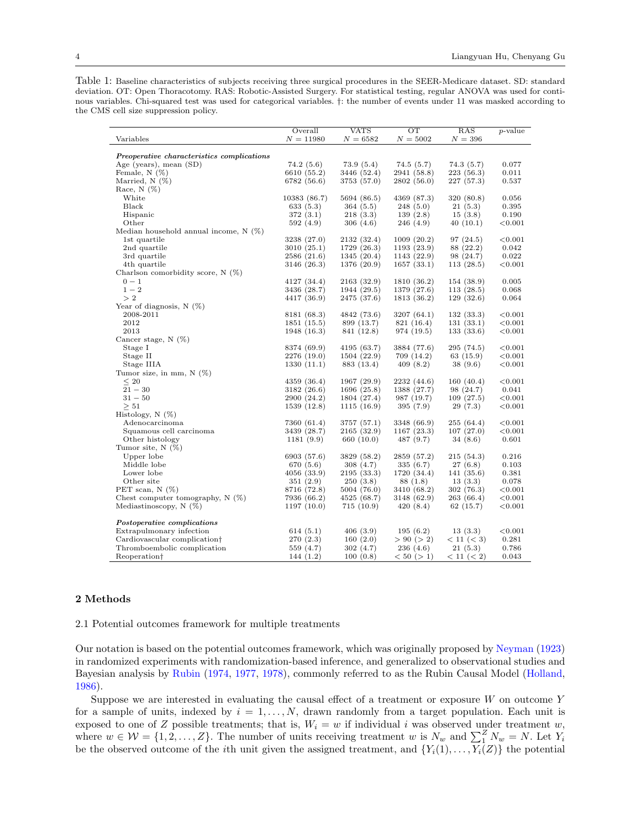<span id="page-3-0"></span>Table 1: Baseline characteristics of subjects receiving three surgical procedures in the SEER-Medicare dataset. SD: standard deviation. OT: Open Thoracotomy. RAS: Robotic-Assisted Surgery. For statistical testing, regular ANOVA was used for continous variables. Chi-squared test was used for categorical variables. †: the number of events under 11 was masked according to the CMS cell size suppression policy.

|                                            | Overall      | <b>VATS</b> | OT          | RAS        | <i>p</i> -value |
|--------------------------------------------|--------------|-------------|-------------|------------|-----------------|
| Variables                                  | $N = 11980$  | $N = 6582$  | $N = 5002$  | $N = 396$  |                 |
|                                            |              |             |             |            |                 |
| Preoperative characteristics complications |              |             |             |            |                 |
| Age (years), mean (SD)                     | 74.2(5.6)    | 73.9(5.4)   | 74.5(5.7)   | 74.3(5.7)  | 0.077           |
| Female, $N(\%)$                            | 6610 (55.2)  | 3446 (52.4) | 2941 (58.8) | 223 (56.3) | 0.011           |
| Married, $N$ $(\%)$                        | 6782 (56.6)  | 3753 (57.0) | 2802(56.0)  | 227 (57.3) | 0.537           |
| Race, $N$ $(\%)$                           |              |             |             |            |                 |
| White                                      | 10383 (86.7) | 5694 (86.5) | 4369 (87.3) | 320 (80.8) | 0.056           |
| Black                                      | 633 (5.3)    | 364 (5.5)   | 248(5.0)    | 21(5.3)    | 0.395           |
| Hispanic                                   | 372(3.1)     | 218 (3.3)   | 139(2.8)    | 15(3.8)    | 0.190           |
| Other                                      | 592(4.9)     | 306(4.6)    | 246 (4.9)   | 40(10.1)   | < 0.001         |
| Median household annual income, $N(\%)$    |              |             |             |            |                 |
| 1st quartile                               | 3238 (27.0)  | 2132 (32.4) | 1009(20.2)  | 97 (24.5)  | ${<}0.001$      |
| 2nd quartile                               | 3010 (25.1)  | 1729 (26.3) | 1193(23.9)  | 88 (22.2)  | 0.042           |
| 3rd quartile                               | 2586 (21.6)  | 1345 (20.4) | 1143(22.9)  | 98 (24.7)  | 0.022           |
| 4th quartile                               | 3146 (26.3)  | 1376 (20.9) | 1657(33.1)  | 113 (28.5) | < 0.001         |
| Charlson comorbidity score, $N(\%)$        |              |             |             |            |                 |
| $0 - 1$                                    | 4127 (34.4)  | 2163 (32.9) | 1810 (36.2) | 154 (38.9) | 0.005           |
| $1 - 2$                                    | 3436 (28.7)  | 1944 (29.5) | 1379 (27.6) | 113(28.5)  | 0.068           |
| >2                                         | 4417 (36.9)  | 2475 (37.6) | 1813 (36.2) | 129 (32.6) | 0.064           |
| Year of diagnosis, $N(\%)$                 |              |             |             |            |                 |
| 2008-2011                                  | 8181 (68.3)  | 4842 (73.6) | 3207(64.1)  | 132(33.3)  | ${<}0.001$      |
| 2012                                       | 1851 (15.5)  | 899 (13.7)  | 821 (16.4)  | 131 (33.1) | < 0.001         |
| 2013                                       | 1948 (16.3)  | 841 (12.8)  | 974 (19.5)  | 133 (33.6) | ${<}0.001$      |
| Cancer stage, $N(\%)$                      |              |             |             |            |                 |
| Stage I                                    | 8374 (69.9)  | 4195 (63.7) | 3884 (77.6) | 295 (74.5) | ${<}0.001$      |
| Stage II                                   | 2276 (19.0)  | 1504 (22.9) | 709 (14.2)  | 63(15.9)   | < 0.001         |
| Stage IIIA                                 | 1330 (11.1)  | 883 (13.4)  | 409 (8.2)   | 38 (9.6)   | ${<}0.001$      |
| Tumor size, in mm, $N(\%)$                 |              |             |             |            |                 |
| $\leq 20$                                  | 4359 (36.4)  | 1967 (29.9) | 2232 (44.6) | 160 (40.4) | < 0.001         |
| $21 - 30$                                  | 3182 (26.6)  | 1696 (25.8) | 1388 (27.7) | 98 (24.7)  | 0.041           |
| $31 - 50$                                  | 2900 (24.2)  | 1804 (27.4) | 987 (19.7)  | 109(27.5)  | < 0.001         |
| > 51                                       | 1539 (12.8)  | 1115(16.9)  | 395(7.9)    | 29(7.3)    | ${<}0.001$      |
| Histology, $N$ (%)                         |              |             |             |            |                 |
| Adenocarcinoma                             | 7360 (61.4)  | 3757 (57.1) | 3348 (66.9) | 255 (64.4) | < 0.001         |
| Squamous cell carcinoma                    | 3439 (28.7)  | 2165 (32.9) | 1167(23.3)  | 107(27.0)  | ${<}0.001$      |
| Other histology                            | 1181(9.9)    | 660 (10.0)  | 487 (9.7)   | 34(8.6)    | 0.601           |
| Tumor site, $N(\%)$                        |              |             |             |            |                 |
| Upper lobe                                 | 6903 (57.6)  | 3829 (58.2) | 2859 (57.2) | 215 (54.3) | 0.216           |
| Middle lobe                                | 670 (5.6)    | 308 (4.7)   | 335(6.7)    | 27(6.8)    | 0.103           |
| Lower lobe                                 | 4056 (33.9)  | 2195 (33.3) | 1720 (34.4) | 141 (35.6) | 0.381           |
| Other site                                 | 351(2.9)     | 250(3.8)    | 88 (1.8)    | 13(3.3)    | 0.078           |
| PET scan, $N$ $(\%)$                       | 8716 (72.8)  | 5004 (76.0) | 3410 (68.2) | 302 (76.3) | < 0.001         |
| Chest computer tomography, $N(\%)$         | 7936 (66.2)  | 4525 (68.7) | 3148 (62.9) | 263 (66.4) | ${<}0.001$      |
| Mediastinoscopy, $N(\%)$                   | 1197(10.0)   | 715(10.9)   | 420(8.4)    | 62(15.7)   | ${<}0.001$      |
|                                            |              |             |             |            |                 |
| Postoperative complications                |              |             |             |            |                 |
| Extrapulmonary infection                   | 614 $(5.1)$  | 406 (3.9)   | 195(6.2)    | 13(3.3)    | < 0.001         |
| Cardiovascular complication <sup>†</sup>   | 270(2.3)     | 160(2.0)    | > 90 (> 2)  | < 11 (< 3) | 0.281           |
| Thromboembolic complication                | 559 (4.7)    | 302 (4.7)   | 236 (4.6)   | 21 (5.3)   | 0.786           |
| Reoperation†                               | 144 (1.2)    | 100(0.8)    | < 50 (> 1)  | < 11 (< 2) | 0.043           |
|                                            |              |             |             |            |                 |

# 2 Methods

2.1 Potential outcomes framework for multiple treatments

Our notation is based on the potential outcomes framework, which was originally proposed by [Neyman](#page-15-8) [\(1923\)](#page-15-8) in randomized experiments with randomization-based inference, and generalized to observational studies and Bayesian analysis by [Rubin](#page-15-9) [\(1974,](#page-15-9) [1977,](#page-15-10) [1978\)](#page-15-11), commonly referred to as the Rubin Causal Model [\(Holland,](#page-14-9) [1986\)](#page-14-9).

Suppose we are interested in evaluating the causal effect of a treatment or exposure  $W$  on outcome Y for a sample of units, indexed by  $i = 1, \ldots, N$ , drawn randomly from a target population. Each unit is exposed to one of Z possible treatments; that is,  $W_i = w$  if individual i was observed under treatment w, where  $w \in \mathcal{W} = \{1, 2, ..., Z\}$ . The number of units receiving treatment w is  $N_w$  and  $\sum_{1}^{Z} N_w = N$ . Let  $Y_i$ be the observed outcome of the *i*th unit given the assigned treatment, and  $\{Y_i(1), \ldots, Y_i(Z)\}\)$  the potential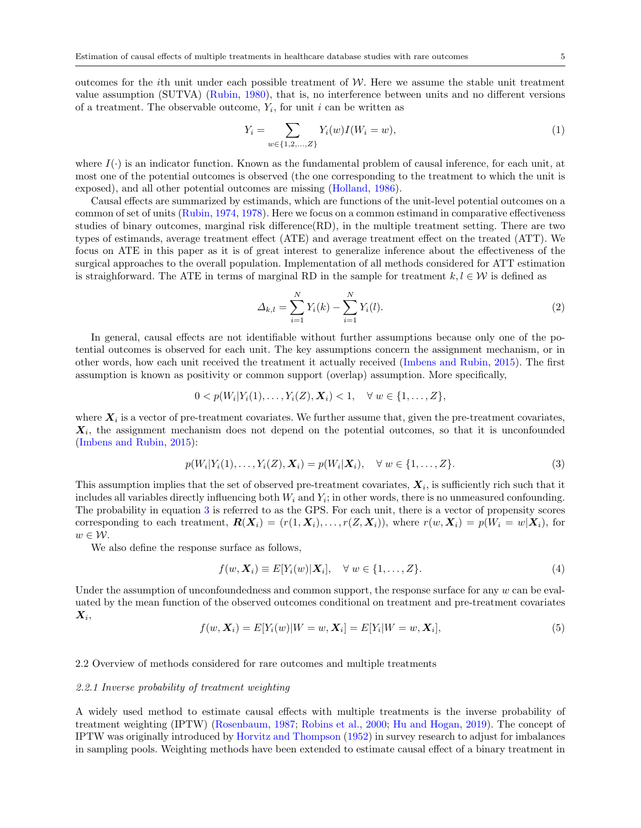outcomes for the *i*th unit under each possible treatment of  $W$ . Here we assume the stable unit treatment value assumption (SUTVA) [\(Rubin,](#page-15-12) [1980\)](#page-15-12), that is, no interference between units and no different versions of a treatment. The observable outcome,  $Y_i$ , for unit i can be written as

$$
Y_i = \sum_{w \in \{1, 2, ..., Z\}} Y_i(w) I(W_i = w),\tag{1}
$$

where  $I(\cdot)$  is an indicator function. Known as the fundamental problem of causal inference, for each unit, at most one of the potential outcomes is observed (the one corresponding to the treatment to which the unit is exposed), and all other potential outcomes are missing [\(Holland,](#page-14-9) [1986\)](#page-14-9).

Causal effects are summarized by estimands, which are functions of the unit-level potential outcomes on a common of set of units [\(Rubin,](#page-15-9) [1974,](#page-15-9) [1978\)](#page-15-11). Here we focus on a common estimand in comparative effectiveness studies of binary outcomes, marginal risk difference(RD), in the multiple treatment setting. There are two types of estimands, average treatment effect (ATE) and average treatment effect on the treated (ATT). We focus on ATE in this paper as it is of great interest to generalize inference about the effectiveness of the surgical approaches to the overall population. Implementation of all methods considered for ATT estimation is straighforward. The ATE in terms of marginal RD in the sample for treatment  $k, l \in \mathcal{W}$  is defined as

$$
\Delta_{k,l} = \sum_{i=1}^{N} Y_i(k) - \sum_{i=1}^{N} Y_i(l).
$$
\n(2)

In general, causal effects are not identifiable without further assumptions because only one of the potential outcomes is observed for each unit. The key assumptions concern the assignment mechanism, or in other words, how each unit received the treatment it actually received [\(Imbens and Rubin,](#page-14-10) [2015\)](#page-14-10). The first assumption is known as positivity or common support (overlap) assumption. More specifically,

$$
0 < p(W_i|Y_i(1), \ldots, Y_i(Z), \mathbf{X}_i) < 1, \quad \forall \ w \in \{1, \ldots, Z\},
$$

where  $X_i$  is a vector of pre-treatment covariates. We further assume that, given the pre-treatment covariates,  $X_i$ , the assignment mechanism does not depend on the potential outcomes, so that it is unconfounded [\(Imbens and Rubin,](#page-14-10) [2015\)](#page-14-10):

<span id="page-4-0"></span>
$$
p(W_i|Y_i(1),...,Y_i(Z),\mathbf{X}_i) = p(W_i|\mathbf{X}_i), \quad \forall \ w \in \{1,...,Z\}.
$$
 (3)

This assumption implies that the set of observed pre-treatment covariates,  $X_i$ , is sufficiently rich such that it includes all variables directly influencing both  $W_i$  and  $Y_i$ ; in other words, there is no unmeasured confounding. The probability in equation [3](#page-4-0) is referred to as the GPS. For each unit, there is a vector of propensity scores corresponding to each treatment,  $\mathbf{R}(\mathbf{X}_i) = (r(1, \mathbf{X}_i), \dots, r(Z, \mathbf{X}_i))$ , where  $r(w, \mathbf{X}_i) = p(W_i = w | \mathbf{X}_i)$ , for  $w \in \mathcal{W}$ .

We also define the response surface as follows,

$$
f(w, \mathbf{X}_i) \equiv E[Y_i(w)|\mathbf{X}_i], \quad \forall \ w \in \{1, \dots, Z\}.
$$
 (4)

Under the assumption of unconfoundedness and common support, the response surface for any  $w$  can be evaluated by the mean function of the observed outcomes conditional on treatment and pre-treatment covariates  $\boldsymbol{X}_i,$ 

$$
f(w, X_i) = E[Y_i(w)|W = w, X_i] = E[Y_i|W = w, X_i],
$$
\n(5)

## 2.2 Overview of methods considered for rare outcomes and multiple treatments

#### 2.2.1 Inverse probability of treatment weighting

A widely used method to estimate causal effects with multiple treatments is the inverse probability of treatment weighting (IPTW) [\(Rosenbaum,](#page-15-13) [1987;](#page-15-13) [Robins et al.,](#page-15-14) [2000;](#page-15-14) [Hu and Hogan,](#page-14-11) [2019\)](#page-14-11). The concept of IPTW was originally introduced by [Horvitz and Thompson](#page-14-12) [\(1952\)](#page-14-12) in survey research to adjust for imbalances in sampling pools. Weighting methods have been extended to estimate causal effect of a binary treatment in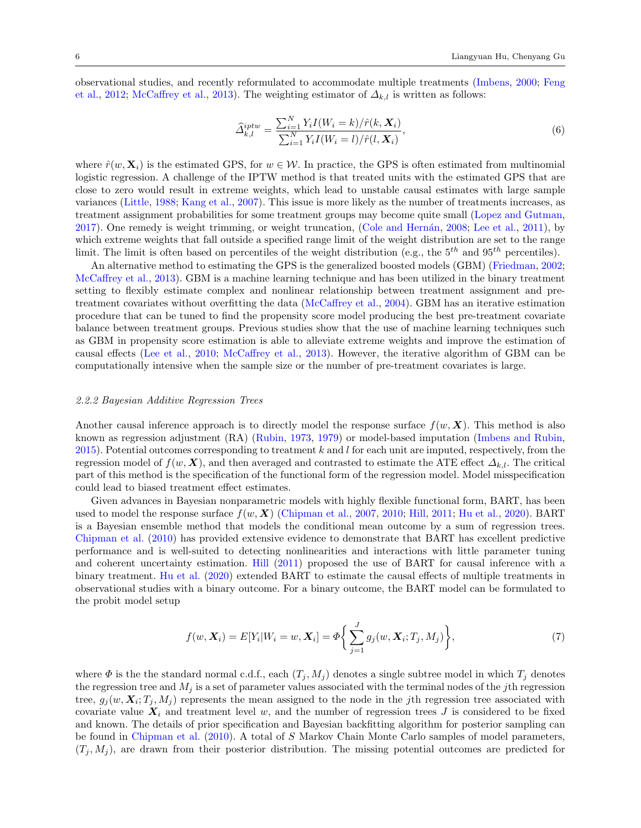observational studies, and recently reformulated to accommodate multiple treatments [\(Imbens,](#page-14-13) [2000;](#page-14-13) [Feng](#page-14-6) [et al.,](#page-14-6) [2012;](#page-14-6) [McCaffrey et al.,](#page-15-6) [2013\)](#page-15-6). The weighting estimator of  $\Delta_{k,l}$  is written as follows:

$$
\widehat{\Delta}_{k,l}^{iptw} = \frac{\sum_{i=1}^{N} Y_i I(W_i = k) / \widehat{r}(k, \mathbf{X}_i)}{\sum_{i=1}^{N} Y_i I(W_i = l) / \widehat{r}(l, \mathbf{X}_i)},\tag{6}
$$

where  $\hat{r}(w, \mathbf{X}_i)$  is the estimated GPS, for  $w \in \mathcal{W}$ . In practice, the GPS is often estimated from multinomial logistic regression. A challenge of the IPTW method is that treated units with the estimated GPS that are close to zero would result in extreme weights, which lead to unstable causal estimates with large sample variances [\(Little,](#page-15-15) [1988;](#page-15-15) [Kang et al.,](#page-14-14) [2007\)](#page-14-14). This issue is more likely as the number of treatments increases, as treatment assignment probabilities for some treatment groups may become quite small [\(Lopez and Gutman,](#page-15-5) [2017\)](#page-15-5). One remedy is weight trimming, or weight truncation, (Cole and Hernán, [2008;](#page-14-15) [Lee et al.,](#page-14-16) [2011\)](#page-14-16), by which extreme weights that fall outside a specified range limit of the weight distribution are set to the range limit. The limit is often based on percentiles of the weight distribution (e.g., the  $5^{th}$  and  $95^{th}$  percentiles).

An alternative method to estimating the GPS is the generalized boosted models (GBM) [\(Friedman,](#page-14-17) [2002;](#page-14-17) [McCaffrey et al.,](#page-15-6) [2013\)](#page-15-6). GBM is a machine learning technique and has been utilized in the binary treatment setting to flexibly estimate complex and nonlinear relationship between treatment assignment and pretreatment covariates without overfitting the data [\(McCaffrey et al.,](#page-15-16) [2004\)](#page-15-16). GBM has an iterative estimation procedure that can be tuned to find the propensity score model producing the best pre-treatment covariate balance between treatment groups. Previous studies show that the use of machine learning techniques such as GBM in propensity score estimation is able to alleviate extreme weights and improve the estimation of causal effects [\(Lee et al.,](#page-14-18) [2010;](#page-14-18) [McCaffrey et al.,](#page-15-6) [2013\)](#page-15-6). However, the iterative algorithm of GBM can be computationally intensive when the sample size or the number of pre-treatment covariates is large.

#### 2.2.2 Bayesian Additive Regression Trees

Another causal inference approach is to directly model the response surface  $f(w, X)$ . This method is also known as regression adjustment (RA) [\(Rubin,](#page-15-17) [1973,](#page-15-17) [1979\)](#page-15-18) or model-based imputation [\(Imbens and Rubin,](#page-14-10) [2015\)](#page-14-10). Potential outcomes corresponding to treatment k and l for each unit are imputed, respectively, from the regression model of  $f(w, X)$ , and then averaged and contrasted to estimate the ATE effect  $\Delta_{k,l}$ . The critical part of this method is the specification of the functional form of the regression model. Model misspecification could lead to biased treatment effect estimates.

Given advances in Bayesian nonparametric models with highly flexible functional form, BART, has been used to model the response surface  $f(w, X)$  [\(Chipman et al.,](#page-14-19) [2007,](#page-14-19) [2010;](#page-14-20) [Hill,](#page-14-21) [2011;](#page-14-21) [Hu et al.,](#page-14-5) [2020\)](#page-14-5). BART is a Bayesian ensemble method that models the conditional mean outcome by a sum of regression trees. [Chipman et al.](#page-14-20) [\(2010\)](#page-14-20) has provided extensive evidence to demonstrate that BART has excellent predictive performance and is well-suited to detecting nonlinearities and interactions with little parameter tuning and coherent uncertainty estimation. [Hill](#page-14-21) [\(2011\)](#page-14-21) proposed the use of BART for causal inference with a binary treatment. [Hu et al.](#page-14-5) [\(2020\)](#page-14-5) extended BART to estimate the causal effects of multiple treatments in observational studies with a binary outcome. For a binary outcome, the BART model can be formulated to the probit model setup

$$
f(w, \mathbf{X}_i) = E[Y_i | W_i = w, \mathbf{X}_i] = \Phi\left\{\sum_{j=1}^J g_j(w, \mathbf{X}_i; T_j, M_j)\right\},\tag{7}
$$

where  $\Phi$  is the the standard normal c.d.f., each  $(T_i, M_j)$  denotes a single subtree model in which  $T_j$  denotes the regression tree and  $M_i$  is a set of parameter values associated with the terminal nodes of the jth regression tree,  $g_j(w, X_i; T_j, M_j)$  represents the mean assigned to the node in the jth regression tree associated with covariate value  $X_i$  and treatment level w, and the number of regression trees J is considered to be fixed and known. The details of prior specification and Bayesian backfitting algorithm for posterior sampling can be found in [Chipman et al.](#page-14-20) [\(2010\)](#page-14-20). A total of S Markov Chain Monte Carlo samples of model parameters,  $(T_i, M_i)$ , are drawn from their posterior distribution. The missing potential outcomes are predicted for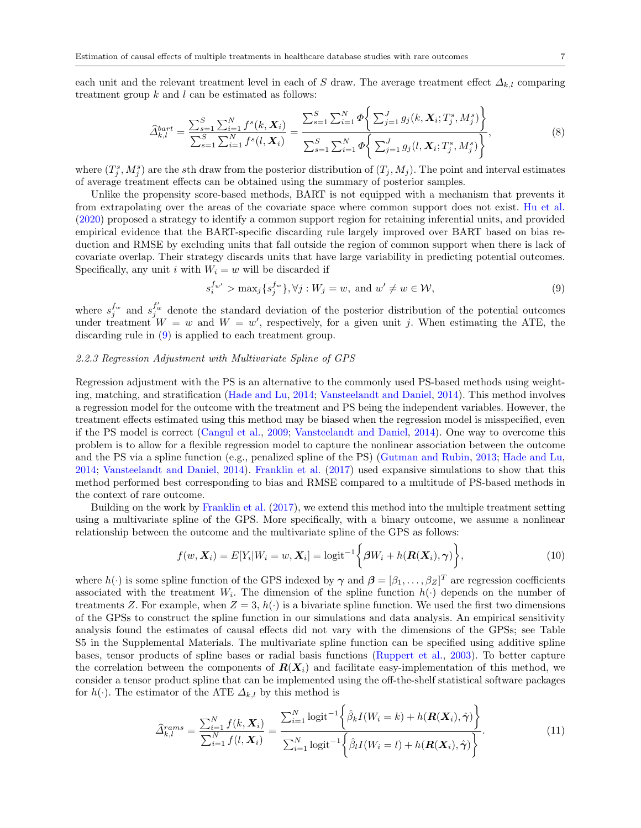each unit and the relevant treatment level in each of S draw. The average treatment effect  $\Delta_{k,l}$  comparing treatment group  $k$  and  $l$  can be estimated as follows:

$$
\widehat{\Delta}_{k,l}^{bart} = \frac{\sum_{s=1}^{S} \sum_{i=1}^{N} f^{s}(k, \mathbf{X}_{i})}{\sum_{s=1}^{S} \sum_{i=1}^{N} f^{s}(l, \mathbf{X}_{i})} = \frac{\sum_{s=1}^{S} \sum_{i=1}^{N} \Phi\left\{\sum_{j=1}^{J} g_{j}(k, \mathbf{X}_{i}; T_{j}^{s}, M_{j}^{s})\right\}}{\sum_{s=1}^{S} \sum_{i=1}^{N} \Phi\left\{\sum_{j=1}^{J} g_{j}(l, \mathbf{X}_{i}; T_{j}^{s}, M_{j}^{s})\right\}},
$$
\n(8)

where  $(T_j^s, M_j^s)$  are the sth draw from the posterior distribution of  $(T_j, M_j)$ . The point and interval estimates of average treatment effects can be obtained using the summary of posterior samples.

Unlike the propensity score-based methods, BART is not equipped with a mechanism that prevents it from extrapolating over the areas of the covariate space where common support does not exist. [Hu et al.](#page-14-5) [\(2020\)](#page-14-5) proposed a strategy to identify a common support region for retaining inferential units, and provided empirical evidence that the BART-specific discarding rule largely improved over BART based on bias reduction and RMSE by excluding units that fall outside the region of common support when there is lack of covariate overlap. Their strategy discards units that have large variability in predicting potential outcomes. Specifically, any unit i with  $W_i = w$  will be discarded if

<span id="page-6-0"></span>
$$
s_i^{f_{w'}} > \max_j \{ s_j^{f_w} \}, \forall j : W_j = w, \text{ and } w' \neq w \in \mathcal{W}, \tag{9}
$$

where  $s_j^{f_w}$  and  $s_j^{f_w'}$  denote the standard deviation of the posterior distribution of the potential outcomes under treatment  $W = w$  and  $W = w'$ , respectively, for a given unit j. When estimating the ATE, the discarding rule in [\(9\)](#page-6-0) is applied to each treatment group.

## 2.2.3 Regression Adjustment with Multivariate Spline of GPS

Regression adjustment with the PS is an alternative to the commonly used PS-based methods using weighting, matching, and stratification [\(Hade and Lu,](#page-14-22) [2014;](#page-14-22) [Vansteelandt and Daniel,](#page-15-19) [2014\)](#page-15-19). This method involves a regression model for the outcome with the treatment and PS being the independent variables. However, the treatment effects estimated using this method may be biased when the regression model is misspecified, even if the PS model is correct [\(Cangul et al.,](#page-14-23) [2009;](#page-14-23) [Vansteelandt and Daniel,](#page-15-19) [2014\)](#page-15-19). One way to overcome this problem is to allow for a flexible regression model to capture the nonlinear association between the outcome and the PS via a spline function (e.g., penalized spline of the PS) [\(Gutman and Rubin,](#page-14-24) [2013;](#page-14-24) [Hade and Lu,](#page-14-22) [2014;](#page-14-22) [Vansteelandt and Daniel,](#page-15-19) [2014\)](#page-15-19). [Franklin et al.](#page-14-4) [\(2017\)](#page-14-4) used expansive simulations to show that this method performed best corresponding to bias and RMSE compared to a multitude of PS-based methods in the context of rare outcome.

Building on the work by [Franklin et al.](#page-14-4) [\(2017\)](#page-14-4), we extend this method into the multiple treatment setting using a multivariate spline of the GPS. More specifically, with a binary outcome, we assume a nonlinear relationship between the outcome and the multivariate spline of the GPS as follows:

$$
f(w, \mathbf{X}_i) = E[Y_i|W_i = w, \mathbf{X}_i] = \text{logit}^{-1}\bigg\{\beta W_i + h(\mathbf{R}(\mathbf{X}_i), \gamma)\bigg\},\tag{10}
$$

where  $h(\cdot)$  is some spline function of the GPS indexed by  $\gamma$  and  $\beta = [\beta_1, \dots, \beta_Z]^T$  are regression coefficients associated with the treatment  $W_i$ . The dimension of the spline function  $h(\cdot)$  depends on the number of treatments Z. For example, when  $Z = 3$ ,  $h(\cdot)$  is a bivariate spline function. We used the first two dimensions of the GPSs to construct the spline function in our simulations and data analysis. An empirical sensitivity analysis found the estimates of causal effects did not vary with the dimensions of the GPSs; see Table S5 in the Supplemental Materials. The multivariate spline function can be specified using additive spline bases, tensor products of spline bases or radial basis functions [\(Ruppert et al.,](#page-15-20) [2003\)](#page-15-20). To better capture the correlation between the components of  $R(X_i)$  and facilitate easy-implementation of this method, we consider a tensor product spline that can be implemented using the off-the-shelf statistical software packages for  $h(\cdot)$ . The estimator of the ATE  $\Delta_{k,l}$  by this method is

$$
\widehat{\Delta}_{k,l}^{rams} = \frac{\sum_{i=1}^{N} f(k, \mathbf{X}_i)}{\sum_{i=1}^{N} f(l, \mathbf{X}_i)} = \frac{\sum_{i=1}^{N} \logit^{-1} \left\{ \widehat{\beta}_k I(W_i = k) + h(\mathbf{R}(\mathbf{X}_i), \widehat{\boldsymbol{\gamma}}) \right\}}{\sum_{i=1}^{N} \logit^{-1} \left\{ \widehat{\beta}_l I(W_i = l) + h(\mathbf{R}(\mathbf{X}_i), \widehat{\boldsymbol{\gamma}}) \right\}}.
$$
\n(11)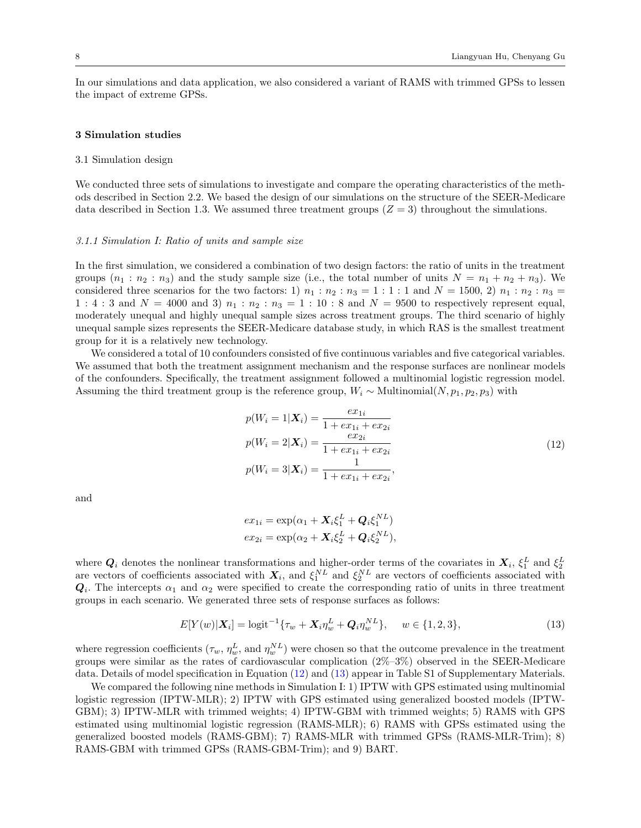In our simulations and data application, we also considered a variant of RAMS with trimmed GPSs to lessen the impact of extreme GPSs.

#### 3 Simulation studies

## 3.1 Simulation design

We conducted three sets of simulations to investigate and compare the operating characteristics of the methods described in Section 2.2. We based the design of our simulations on the structure of the SEER-Medicare data described in Section 1.3. We assumed three treatment groups  $(Z = 3)$  throughout the simulations.

## 3.1.1 Simulation I: Ratio of units and sample size

In the first simulation, we considered a combination of two design factors: the ratio of units in the treatment groups  $(n_1 : n_2 : n_3)$  and the study sample size (i.e., the total number of units  $N = n_1 + n_2 + n_3$ ). We considered three scenarios for the two factors: 1)  $n_1 : n_2 : n_3 = 1 : 1 : 1$  and  $N = 1500, 2)$   $n_1 : n_2 : n_3 =$ 1 : 4 : 3 and  $N = 4000$  and 3)  $n_1 : n_2 : n_3 = 1 : 10 : 8$  and  $N = 9500$  to respectively represent equal, moderately unequal and highly unequal sample sizes across treatment groups. The third scenario of highly unequal sample sizes represents the SEER-Medicare database study, in which RAS is the smallest treatment group for it is a relatively new technology.

We considered a total of 10 confounders consisted of five continuous variables and five categorical variables. We assumed that both the treatment assignment mechanism and the response surfaces are nonlinear models of the confounders. Specifically, the treatment assignment followed a multinomial logistic regression model. Assuming the third treatment group is the reference group,  $W_i \sim \text{Multinomial}(N, p_1, p_2, p_3)$  with

$$
p(W_i = 1 | \mathbf{X}_i) = \frac{ex_{1i}}{1 + ex_{1i} + ex_{2i}}
$$
  
\n
$$
p(W_i = 2 | \mathbf{X}_i) = \frac{ex_{2i}}{1 + ex_{1i} + ex_{2i}}
$$
  
\n
$$
p(W_i = 3 | \mathbf{X}_i) = \frac{1}{1 + ex_{1i} + ex_{2i}},
$$
\n(12)

<span id="page-7-0"></span>and

$$
ex_{1i} = \exp(\alpha_1 + X_i \xi_1^L + Q_i \xi_1^{NL})
$$
  

$$
ex_{2i} = \exp(\alpha_2 + X_i \xi_2^L + Q_i \xi_2^{NL}),
$$

where  $Q_i$  denotes the nonlinear transformations and higher-order terms of the covariates in  $X_i$ ,  $\xi_1^L$  and  $\xi_2^L$ <br>are vectors of coefficients associated with  $X_i$ , and  $\xi_1^{NL}$  and  $\xi_2^{NL}$  are vectors of coeffic  $Q_i$ . The intercepts  $\alpha_1$  and  $\alpha_2$  were specified to create the corresponding ratio of units in three treatment groups in each scenario. We generated three sets of response surfaces as follows:

<span id="page-7-1"></span>
$$
E[Y(w)|\mathbf{X}_i] = \logit^{-1}\{\tau_w + \mathbf{X}_i\eta_w^L + \mathbf{Q}_i\eta_w^{NL}\}, \quad w \in \{1, 2, 3\},\tag{13}
$$

where regression coefficients  $(\tau_w, \eta_w^L, \text{and } \eta_w^{NL})$  were chosen so that the outcome prevalence in the treatment groups were similar as the rates of cardiovascular complication (2%–3%) observed in the SEER-Medicare data. Details of model specification in Equation [\(12\)](#page-7-0) and [\(13\)](#page-7-1) appear in Table S1 of Supplementary Materials.

We compared the following nine methods in Simulation I: 1) IPTW with GPS estimated using multinomial logistic regression (IPTW-MLR); 2) IPTW with GPS estimated using generalized boosted models (IPTW-GBM); 3) IPTW-MLR with trimmed weights; 4) IPTW-GBM with trimmed weights; 5) RAMS with GPS estimated using multinomial logistic regression (RAMS-MLR); 6) RAMS with GPSs estimated using the generalized boosted models (RAMS-GBM); 7) RAMS-MLR with trimmed GPSs (RAMS-MLR-Trim); 8) RAMS-GBM with trimmed GPSs (RAMS-GBM-Trim); and 9) BART.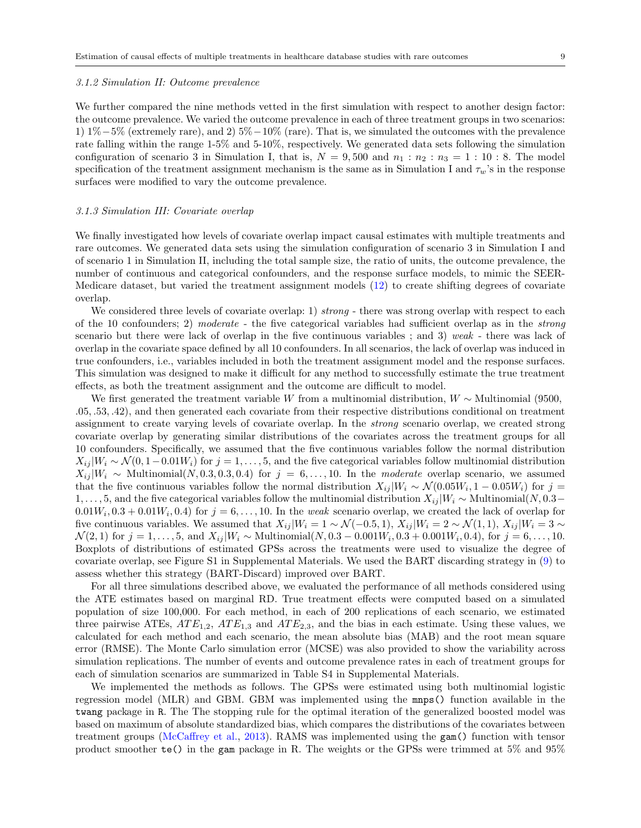#### 3.1.2 Simulation II: Outcome prevalence

We further compared the nine methods vetted in the first simulation with respect to another design factor: the outcome prevalence. We varied the outcome prevalence in each of three treatment groups in two scenarios: 1) 1%−5% (extremely rare), and 2) 5%−10% (rare). That is, we simulated the outcomes with the prevalence rate falling within the range 1-5% and 5-10%, respectively. We generated data sets following the simulation configuration of scenario 3 in Simulation I, that is,  $N = 9,500$  and  $n_1 : n_2 : n_3 = 1 : 10 : 8$ . The model specification of the treatment assignment mechanism is the same as in Simulation I and  $\tau_w$ 's in the response surfaces were modified to vary the outcome prevalence.

#### 3.1.3 Simulation III: Covariate overlap

We finally investigated how levels of covariate overlap impact causal estimates with multiple treatments and rare outcomes. We generated data sets using the simulation configuration of scenario 3 in Simulation I and of scenario 1 in Simulation II, including the total sample size, the ratio of units, the outcome prevalence, the number of continuous and categorical confounders, and the response surface models, to mimic the SEER-Medicare dataset, but varied the treatment assignment models [\(12\)](#page-7-0) to create shifting degrees of covariate overlap.

We considered three levels of covariate overlap: 1) strong - there was strong overlap with respect to each of the 10 confounders; 2) moderate - the five categorical variables had sufficient overlap as in the strong scenario but there were lack of overlap in the five continuous variables ; and 3) weak - there was lack of overlap in the covariate space defined by all 10 confounders. In all scenarios, the lack of overlap was induced in true confounders, i.e., variables included in both the treatment assignment model and the response surfaces. This simulation was designed to make it difficult for any method to successfully estimate the true treatment effects, as both the treatment assignment and the outcome are difficult to model.

We first generated the treatment variable W from a multinomial distribution,  $W \sim$  Multinomial (9500, .05, .53, .42), and then generated each covariate from their respective distributions conditional on treatment assignment to create varying levels of covariate overlap. In the strong scenario overlap, we created strong covariate overlap by generating similar distributions of the covariates across the treatment groups for all 10 confounders. Specifically, we assumed that the five continuous variables follow the normal distribution  $X_{ij} | W_i \sim \mathcal{N}(0, 1-0.01W_i)$  for  $j = 1, ..., 5$ , and the five categorical variables follow multinomial distribution  $X_{ij} | W_i \sim \text{Multinomial}(N, 0.3, 0.3, 0.4)$  for  $j = 6, ..., 10$ . In the moderate overlap scenario, we assumed that the five continuous variables follow the normal distribution  $X_{ij} |W_i \sim \mathcal{N}(0.05W_i, 1-0.05W_i)$  for  $j =$ 1, ..., 5, and the five categorical variables follow the multinomial distribution  $X_{ij} |W_i \sim \text{Multinomial}(N, 0.3-\text{I})$  $0.01W_i, 0.3 + 0.01W_i, 0.4$  for  $j = 6, \ldots, 10$ . In the weak scenario overlap, we created the lack of overlap for five continuous variables. We assumed that  $X_{ij} |W_i = 1 \sim \mathcal{N}(-0.5, 1), X_{ij} |W_i = 2 \sim \mathcal{N}(1, 1), X_{ij} |W_i = 3 \sim \mathcal{N}(1, 1)$  $\mathcal{N}(2,1)$  for  $j=1,\ldots,5$ , and  $X_{ij}|W_i \sim \text{Multinomial}(N, 0.3-0.001W_i, 0.3+0.001W_i, 0.4)$ , for  $j=6,\ldots,10$ . Boxplots of distributions of estimated GPSs across the treatments were used to visualize the degree of covariate overlap, see Figure S1 in Supplemental Materials. We used the BART discarding strategy in [\(9\)](#page-6-0) to assess whether this strategy (BART-Discard) improved over BART.

For all three simulations described above, we evaluated the performance of all methods considered using the ATE estimates based on marginal RD. True treatment effects were computed based on a simulated population of size 100,000. For each method, in each of 200 replications of each scenario, we estimated three pairwise ATEs,  $ATE_{1,2}$ ,  $ATE_{1,3}$  and  $ATE_{2,3}$ , and the bias in each estimate. Using these values, we calculated for each method and each scenario, the mean absolute bias (MAB) and the root mean square error (RMSE). The Monte Carlo simulation error (MCSE) was also provided to show the variability across simulation replications. The number of events and outcome prevalence rates in each of treatment groups for each of simulation scenarios are summarized in Table S4 in Supplemental Materials.

We implemented the methods as follows. The GPSs were estimated using both multinomial logistic regression model (MLR) and GBM. GBM was implemented using the mnps() function available in the twang package in R. The The stopping rule for the optimal iteration of the generalized boosted model was based on maximum of absolute standardized bias, which compares the distributions of the covariates between treatment groups [\(McCaffrey et al.,](#page-15-6) [2013\)](#page-15-6). RAMS was implemented using the gam() function with tensor product smoother te() in the gam package in R. The weights or the GPSs were trimmed at 5% and 95%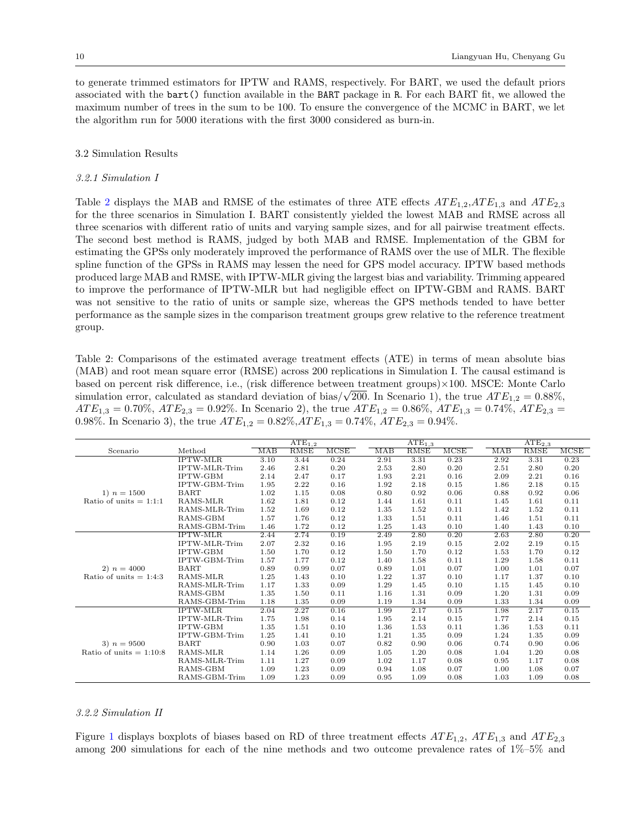to generate trimmed estimators for IPTW and RAMS, respectively. For BART, we used the default priors associated with the bart() function available in the BART package in R. For each BART fit, we allowed the maximum number of trees in the sum to be 100. To ensure the convergence of the MCMC in BART, we let the algorithm run for 5000 iterations with the first 3000 considered as burn-in.

## 3.2 Simulation Results

#### 3.2.1 Simulation I

Table [2](#page-9-0) displays the MAB and RMSE of the estimates of three ATE effects  $ATE_{1,2}$ ,  $ATE_{1,3}$  and  $ATE_{2,3}$ for the three scenarios in Simulation I. BART consistently yielded the lowest MAB and RMSE across all three scenarios with different ratio of units and varying sample sizes, and for all pairwise treatment effects. The second best method is RAMS, judged by both MAB and RMSE. Implementation of the GBM for estimating the GPSs only moderately improved the performance of RAMS over the use of MLR. The flexible spline function of the GPSs in RAMS may lessen the need for GPS model accuracy. IPTW based methods produced large MAB and RMSE, with IPTW-MLR giving the largest bias and variability. Trimming appeared to improve the performance of IPTW-MLR but had negligible effect on IPTW-GBM and RAMS. BART was not sensitive to the ratio of units or sample size, whereas the GPS methods tended to have better performance as the sample sizes in the comparison treatment groups grew relative to the reference treatment group.

<span id="page-9-0"></span>Table 2: Comparisons of the estimated average treatment effects (ATE) in terms of mean absolute bias (MAB) and root mean square error (RMSE) across 200 replications in Simulation I. The causal estimand is based on percent risk difference, i.e., (risk difference between treatment groups)×100. MSCE: Monte Carlo based on percent risk difference, i.e., (risk difference between treatment groups)×100. MSCE: Monte Carlo<br>simulation error, calculated as standard deviation of bias/ $\sqrt{200}$ . In Scenario 1), the true  $ATE_{1,2} = 0.88\%$ ,  $ATE_{1,3} = 0.70\%$ ,  $ATE_{2,3} = 0.92\%$ . In Scenario 2), the true  $ATE_{1,2} = 0.86\%$ ,  $ATE_{1,3} = 0.74\%$ ,  $ATE_{2,3} =$ 0.98%. In Scenario 3), the true  $ATE_{1,2} = 0.82\%, ATE_{1,3} = 0.74\%, ATE_{2,3} = 0.94\%.$ 

|                           |                              |      | $\overline{\text{ATE}_{1,2}}$ |             | $\overline{\text{ATE}_{1,3}}$ |      |      | $\overline{\text{ATE}_{2,3}}$ |      |             |             |
|---------------------------|------------------------------|------|-------------------------------|-------------|-------------------------------|------|------|-------------------------------|------|-------------|-------------|
| Scenario                  | Method                       | MAB  | <b>RMSE</b>                   | <b>MCSE</b> |                               | MAB  | RMSE | MCSE                          | MAB  | <b>RMSE</b> | <b>MCSE</b> |
|                           | <b>IPTW-MLR</b>              | 3.10 | 3.44                          | 0.24        |                               | 2.91 | 3.31 | 0.23                          | 2.92 | 3.31        | 0.23        |
|                           | <b>IPTW-MLR-Trim</b>         | 2.46 | 2.81                          | 0.20        |                               | 2.53 | 2.80 | 0.20                          | 2.51 | 2.80        | 0.20        |
|                           | <b>IPTW-GBM</b>              | 2.14 | 2.47                          | 0.17        |                               | 1.93 | 2.21 | 0.16                          | 2.09 | 2.21        | 0.16        |
|                           | <b>IPTW-GBM-Trim</b>         | 1.95 | 2.22                          | 0.16        |                               | 1.92 | 2.18 | 0.15                          | 1.86 | 2.18        | 0.15        |
| 1) $n = 1500$             | <b>BART</b>                  | 1.02 | 1.15                          | 0.08        |                               | 0.80 | 0.92 | 0.06                          | 0.88 | 0.92        | 0.06        |
| Ratio of units $= 1:1:1$  | RAMS-MLR                     | 1.62 | 1.81                          | 0.12        |                               | 1.44 | 1.61 | 0.11                          | 1.45 | 1.61        | 0.11        |
|                           | RAMS-MLR-Trim                | 1.52 | 1.69                          | 0.12        |                               | 1.35 | 1.52 | 0.11                          | 1.42 | 1.52        | 0.11        |
|                           | RAMS-GBM                     | 1.57 | 1.76                          | 0.12        |                               | 1.33 | 1.51 | 0.11                          | 1.46 | 1.51        | 0.11        |
|                           | RAMS-GBM-Trim                | 1.46 | 1.72                          | 0.12        |                               | 1.25 | 1.43 | 0.10                          | 1.40 | 1.43        | 0.10        |
|                           | <b>IPTW-MLR</b>              | 2.44 | 2.74                          | 0.19        |                               | 2.49 | 2.80 | 0.20                          | 2.63 | 2.80        | 0.20        |
|                           | <b>IPTW-MLR-Trim</b>         | 2.07 | 2.32                          | 0.16        |                               | 1.95 | 2.19 | 0.15                          | 2.02 | 2.19        | 0.15        |
|                           | <b>IPTW-GBM</b>              | 1.50 | 1.70                          | 0.12        |                               | 1.50 | 1.70 | 0.12                          | 1.53 | 1.70        | 0.12        |
|                           | IPTW-GBM-Trim                | 1.57 | 1.77                          | 0.12        |                               | 1.40 | 1.58 | 0.11                          | 1.29 | 1.58        | 0.11        |
| 2) $n = 4000$             | <b>BART</b>                  | 0.89 | 0.99                          | 0.07        |                               | 0.89 | 1.01 | 0.07                          | 1.00 | 1.01        | 0.07        |
| Ratio of units $= 1:4:3$  | RAMS-MLR                     | 1.25 | 1.43                          | 0.10        |                               | 1.22 | 1.37 | 0.10                          | 1.17 | 1.37        | 0.10        |
|                           | RAMS-MLR-Trim                | 1.17 | 1.33                          | 0.09        |                               | 1.29 | 1.45 | 0.10                          | 1.15 | 1.45        | 0.10        |
|                           | RAMS-GBM                     | 1.35 | 1.50                          | 0.11        |                               | 1.16 | 1.31 | 0.09                          | 1.20 | 1.31        | 0.09        |
|                           | RAMS-GBM-Trim                | 1.18 | 1.35                          | 0.09        |                               | 1.19 | 1.34 | 0.09                          | 1.33 | 1.34        | 0.09        |
|                           | $\overline{\text{IPTW-MLR}}$ | 2.04 | 2.27                          | 0.16        |                               | 1.99 | 2.17 | 0.15                          | 1.98 | 2.17        | 0.15        |
|                           | <b>IPTW-MLR-Trim</b>         | 1.75 | 1.98                          | 0.14        |                               | 1.95 | 2.14 | 0.15                          | 1.77 | 2.14        | 0.15        |
|                           | <b>IPTW-GBM</b>              | 1.35 | 1.51                          | 0.10        |                               | 1.36 | 1.53 | 0.11                          | 1.36 | 1.53        | 0.11        |
|                           | <b>IPTW-GBM-Trim</b>         | 1.25 | 1.41                          | 0.10        |                               | 1.21 | 1.35 | 0.09                          | 1.24 | 1.35        | 0.09        |
| 3) $n = 9500$             | <b>BART</b>                  | 0.90 | 1.03                          | 0.07        |                               | 0.82 | 0.90 | 0.06                          | 0.74 | 0.90        | 0.06        |
| Ratio of units $= 1:10:8$ | RAMS-MLR                     | 1.14 | 1.26                          | 0.09        |                               | 1.05 | 1.20 | 0.08                          | 1.04 | 1.20        | 0.08        |
|                           | RAMS-MLR-Trim                | 1.11 | 1.27                          | 0.09        |                               | 1.02 | 1.17 | 0.08                          | 0.95 | 1.17        | 0.08        |
|                           | RAMS-GBM                     | 1.09 | 1.23                          | 0.09        |                               | 0.94 | 1.08 | 0.07                          | 1.00 | 1.08        | 0.07        |
|                           | RAMS-GBM-Trim                | 1.09 | 1.23                          | 0.09        |                               | 0.95 | 1.09 | 0.08                          | 1.03 | 1.09        | 0.08        |

#### 3.2.2 Simulation II

Figure [1](#page-10-0) displays boxplots of biases based on RD of three treatment effects  $ATE_{1,2}$ ,  $ATE_{1,3}$  and  $ATE_{2,3}$ among 200 simulations for each of the nine methods and two outcome prevalence rates of 1%–5% and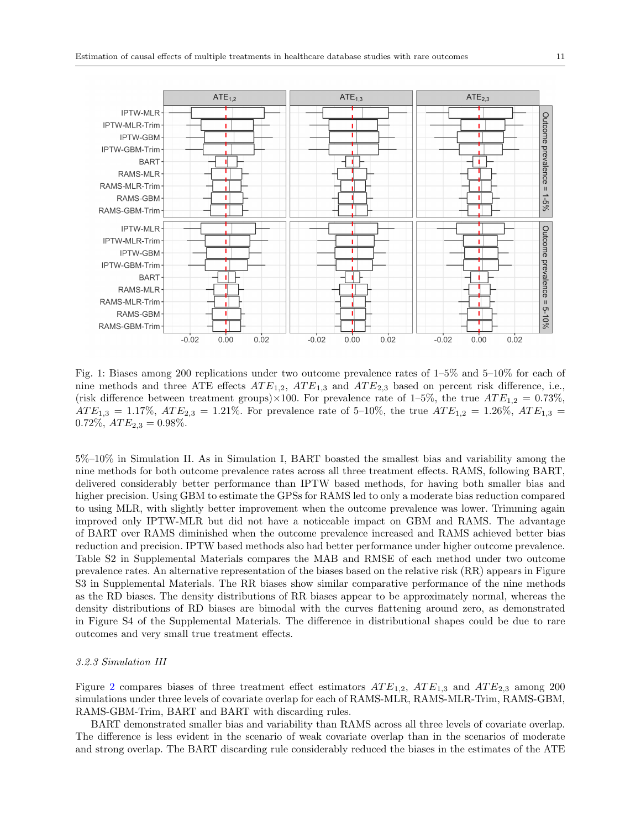<span id="page-10-0"></span>

Fig. 1: Biases among 200 replications under two outcome prevalence rates of 1–5% and 5–10% for each of nine methods and three ATE effects  $ATE_{1,2}$ ,  $ATE_{1,3}$  and  $ATE_{2,3}$  based on percent risk difference, i.e., (risk difference between treatment groups)×100. For prevalence rate of 1–5%, the true  $ATE_{1,2} = 0.73\%$ ,  $ATE_{1,3} = 1.17\%,$   $ATE_{2,3} = 1.21\%$ . For prevalence rate of 5-10%, the true  $ATE_{1,2} = 1.26\%,$   $ATE_{1,3} =$  $0.72\%, ATE_{2,3} = 0.98\%.$ 

5%–10% in Simulation II. As in Simulation I, BART boasted the smallest bias and variability among the nine methods for both outcome prevalence rates across all three treatment effects. RAMS, following BART, delivered considerably better performance than IPTW based methods, for having both smaller bias and higher precision. Using GBM to estimate the GPSs for RAMS led to only a moderate bias reduction compared to using MLR, with slightly better improvement when the outcome prevalence was lower. Trimming again improved only IPTW-MLR but did not have a noticeable impact on GBM and RAMS. The advantage of BART over RAMS diminished when the outcome prevalence increased and RAMS achieved better bias reduction and precision. IPTW based methods also had better performance under higher outcome prevalence. Table S2 in Supplemental Materials compares the MAB and RMSE of each method under two outcome prevalence rates. An alternative representation of the biases based on the relative risk (RR) appears in Figure S3 in Supplemental Materials. The RR biases show similar comparative performance of the nine methods as the RD biases. The density distributions of RR biases appear to be approximately normal, whereas the density distributions of RD biases are bimodal with the curves flattening around zero, as demonstrated in Figure S4 of the Supplemental Materials. The difference in distributional shapes could be due to rare outcomes and very small true treatment effects.

## 3.2.3 Simulation III

Figure [2](#page-11-0) compares biases of three treatment effect estimators  $ATE_{1,2}$ ,  $ATE_{1,3}$  and  $ATE_{2,3}$  among 200 simulations under three levels of covariate overlap for each of RAMS-MLR, RAMS-MLR-Trim, RAMS-GBM, RAMS-GBM-Trim, BART and BART with discarding rules.

BART demonstrated smaller bias and variability than RAMS across all three levels of covariate overlap. The difference is less evident in the scenario of weak covariate overlap than in the scenarios of moderate and strong overlap. The BART discarding rule considerably reduced the biases in the estimates of the ATE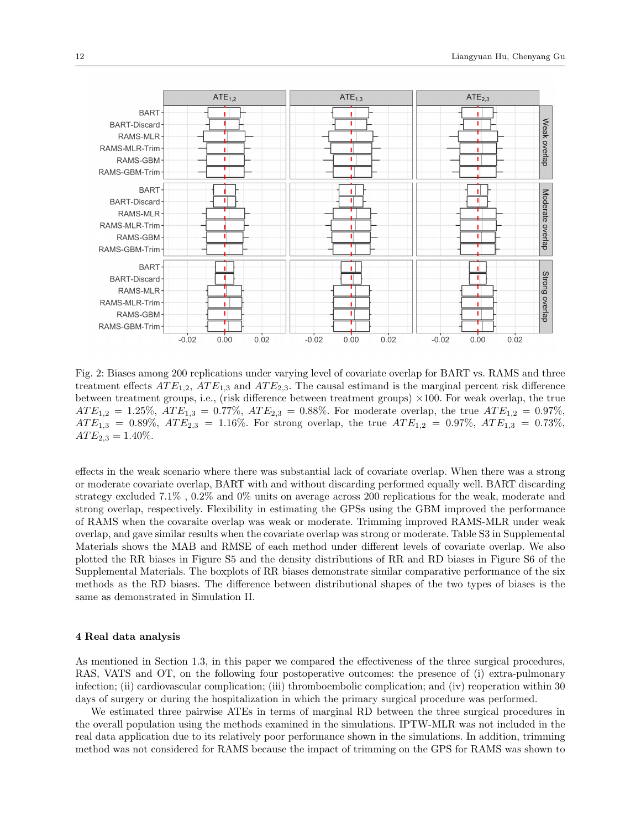<span id="page-11-0"></span>

Fig. 2: Biases among 200 replications under varying level of covariate overlap for BART vs. RAMS and three treatment effects  $ATE_{1,2}$ ,  $ATE_{1,3}$  and  $ATE_{2,3}$ . The causal estimand is the marginal percent risk difference between treatment groups, i.e., (risk difference between treatment groups)  $\times 100$ . For weak overlap, the true  $ATE_{1,2} = 1.25\%, ATE_{1,3} = 0.77\%, ATE_{2,3} = 0.88\%.$  For moderate overlap, the true  $ATE_{1,2} = 0.97\%$ ,  $ATE_{1,3} = 0.89\%,$   $ATE_{2,3} = 1.16\%$ . For strong overlap, the true  $ATE_{1,2} = 0.97\%,$   $ATE_{1,3} = 0.73\%$ ,  $ATE_{2,3} = 1.40\%.$ 

effects in the weak scenario where there was substantial lack of covariate overlap. When there was a strong or moderate covariate overlap, BART with and without discarding performed equally well. BART discarding strategy excluded 7.1% , 0.2% and 0% units on average across 200 replications for the weak, moderate and strong overlap, respectively. Flexibility in estimating the GPSs using the GBM improved the performance of RAMS when the covaraite overlap was weak or moderate. Trimming improved RAMS-MLR under weak overlap, and gave similar results when the covariate overlap was strong or moderate. Table S3 in Supplemental Materials shows the MAB and RMSE of each method under different levels of covariate overlap. We also plotted the RR biases in Figure S5 and the density distributions of RR and RD biases in Figure S6 of the Supplemental Materials. The boxplots of RR biases demonstrate similar comparative performance of the six methods as the RD biases. The difference between distributional shapes of the two types of biases is the same as demonstrated in Simulation II.

## 4 Real data analysis

As mentioned in Section 1.3, in this paper we compared the effectiveness of the three surgical procedures, RAS, VATS and OT, on the following four postoperative outcomes: the presence of (i) extra-pulmonary infection; (ii) cardiovascular complication; (iii) thromboembolic complication; and (iv) reoperation within 30 days of surgery or during the hospitalization in which the primary surgical procedure was performed.

We estimated three pairwise ATEs in terms of marginal RD between the three surgical procedures in the overall population using the methods examined in the simulations. IPTW-MLR was not included in the real data application due to its relatively poor performance shown in the simulations. In addition, trimming method was not considered for RAMS because the impact of trimming on the GPS for RAMS was shown to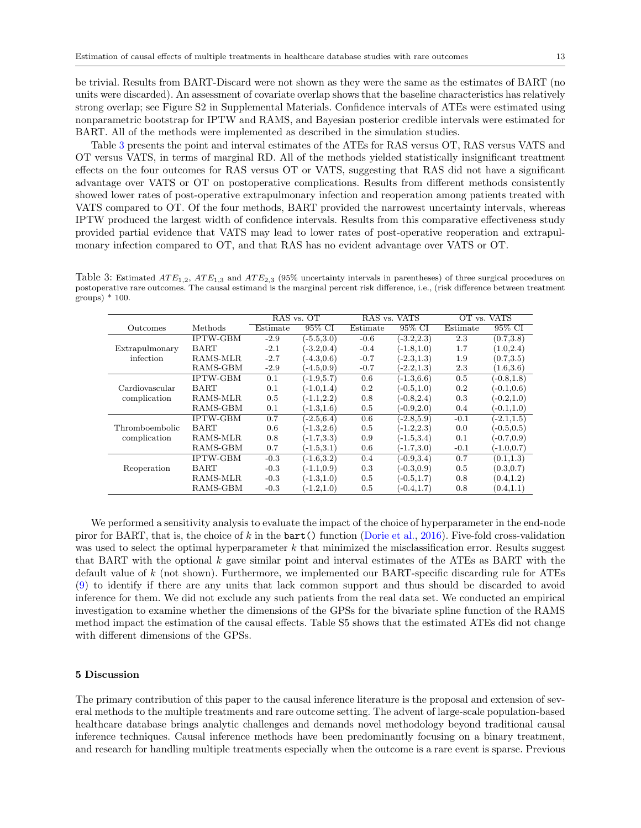be trivial. Results from BART-Discard were not shown as they were the same as the estimates of BART (no units were discarded). An assessment of covariate overlap shows that the baseline characteristics has relatively strong overlap; see Figure S2 in Supplemental Materials. Confidence intervals of ATEs were estimated using nonparametric bootstrap for IPTW and RAMS, and Bayesian posterior credible intervals were estimated for BART. All of the methods were implemented as described in the simulation studies.

Table [3](#page-12-0) presents the point and interval estimates of the ATEs for RAS versus OT, RAS versus VATS and OT versus VATS, in terms of marginal RD. All of the methods yielded statistically insignificant treatment effects on the four outcomes for RAS versus OT or VATS, suggesting that RAS did not have a significant advantage over VATS or OT on postoperative complications. Results from different methods consistently showed lower rates of post-operative extrapulmonary infection and reoperation among patients treated with VATS compared to OT. Of the four methods, BART provided the narrowest uncertainty intervals, whereas IPTW produced the largest width of confidence intervals. Results from this comparative effectiveness study provided partial evidence that VATS may lead to lower rates of post-operative reoperation and extrapulmonary infection compared to OT, and that RAS has no evident advantage over VATS or OT.

<span id="page-12-0"></span>Table 3: Estimated  $ATE_{1,2}$ ,  $ATE_{1,3}$  and  $ATE_{2,3}$  (95% uncertainty intervals in parentheses) of three surgical procedures on postoperative rare outcomes. The causal estimand is the marginal percent risk difference, i.e., (risk difference between treatment groups) \* 100.

|                |                 | RAS vs. OT |               | RAS vs.  | <b>VATS</b>   | <b>VATS</b><br>OT vs. |               |  |
|----------------|-----------------|------------|---------------|----------|---------------|-----------------------|---------------|--|
| Outcomes       | Methods         | Estimate   | 95% CI        | Estimate | 95% CI        | Estimate              | 95% CI        |  |
|                | <b>IPTW-GBM</b> | $-2.9$     | $(-5.5,3.0)$  | $-0.6$   | $(-3.2, 2.3)$ | 2.3                   | (0.7, 3.8)    |  |
| Extrapulmonary | BART            | $-2.1$     | $(-3.2, 0.4)$ | $-0.4$   | $(-1.8, 1.0)$ | 1.7                   | (1.0, 2.4)    |  |
| infection      | RAMS-MLR        | $-2.7$     | $(-4.3, 0.6)$ | $-0.7$   | $(-2.3, 1.3)$ | 1.9                   | (0.7, 3.5)    |  |
|                | RAMS-GBM        | $-2.9$     | $(-4.5, 0.9)$ | $-0.7$   | $(-2.2, 1.3)$ | 2.3                   | (1.6, 3.6)    |  |
|                | <b>IPTW-GBM</b> | 0.1        | $(-1.9, 5.7)$ | 0.6      | $(-1.3, 6.6)$ | 0.5                   | $(-0.8, 1.8)$ |  |
| Cardiovascular | <b>BART</b>     | 0.1        | $(-1.0, 1.4)$ | 0.2      | $(-0.5, 1.0)$ | $0.2\,$               | $(-0.1, 0.6)$ |  |
| complication   | RAMS-MLR        | 0.5        | $(-1.1, 2.2)$ | 0.8      | $(-0.8, 2.4)$ | 0.3                   | $(-0.2, 1.0)$ |  |
|                | RAMS-GBM        | 0.1        | $(-1.3, 1.6)$ | 0.5      | $(-0.9, 2.0)$ | 0.4                   | $(-0.1, 1.0)$ |  |
|                | <b>IPTW-GBM</b> | 0.7        | $(-2.5, 6.4)$ | 0.6      | $(-2.8, 5.9)$ | $-0.1$                | $(-2.1, 1.5)$ |  |
| Thromboembolic | BART            | 0.6        | $(-1.3, 2.6)$ | 0.5      | $(-1.2, 2.3)$ | 0.0                   | $(-0.5, 0.5)$ |  |
| complication   | RAMS-MLR        | 0.8        | $(-1.7, 3.3)$ | 0.9      | $(-1.5,3.4)$  | 0.1                   | $(-0.7, 0.9)$ |  |
|                | RAMS-GBM        | 0.7        | $(-1.5,3.1)$  | 0.6      | $(-1.7,3.0)$  | $-0.1$                | $(-1.0, 0.7)$ |  |
|                | <b>IPTW-GBM</b> | $-0.3$     | $(-1.6, 3.2)$ | 0.4      | $(-0.9, 3.4)$ | 0.7                   | (0.1, 1.3)    |  |
| Reoperation    | BART            | $-0.3$     | $(-1.1, 0.9)$ | 0.3      | $(-0.3, 0.9)$ | 0.5                   | (0.3, 0.7)    |  |
|                | RAMS-MLR        | $-0.3$     | $(-1.3, 1.0)$ | 0.5      | $(-0.5, 1.7)$ | 0.8                   | (0.4, 1.2)    |  |
|                | RAMS-GBM        | $-0.3$     | $(-1.2, 1.0)$ | 0.5      | $(-0.4, 1.7)$ | 0.8                   | (0.4, 1.1)    |  |

We performed a sensitivity analysis to evaluate the impact of the choice of hyperparameter in the end-node piror for BART, that is, the choice of k in the bart() function [\(Dorie et al.,](#page-14-25) [2016\)](#page-14-25). Five-fold cross-validation was used to select the optimal hyperparameter  $k$  that minimized the misclassification error. Results suggest that BART with the optional  $k$  gave similar point and interval estimates of the ATEs as BART with the default value of k (not shown). Furthermore, we implemented our BART-specific discarding rule for ATEs [\(9\)](#page-6-0) to identify if there are any units that lack common support and thus should be discarded to avoid inference for them. We did not exclude any such patients from the real data set. We conducted an empirical investigation to examine whether the dimensions of the GPSs for the bivariate spline function of the RAMS method impact the estimation of the causal effects. Table S5 shows that the estimated ATEs did not change with different dimensions of the GPSs.

## 5 Discussion

The primary contribution of this paper to the causal inference literature is the proposal and extension of several methods to the multiple treatments and rare outcome setting. The advent of large-scale population-based healthcare database brings analytic challenges and demands novel methodology beyond traditional causal inference techniques. Causal inference methods have been predominantly focusing on a binary treatment, and research for handling multiple treatments especially when the outcome is a rare event is sparse. Previous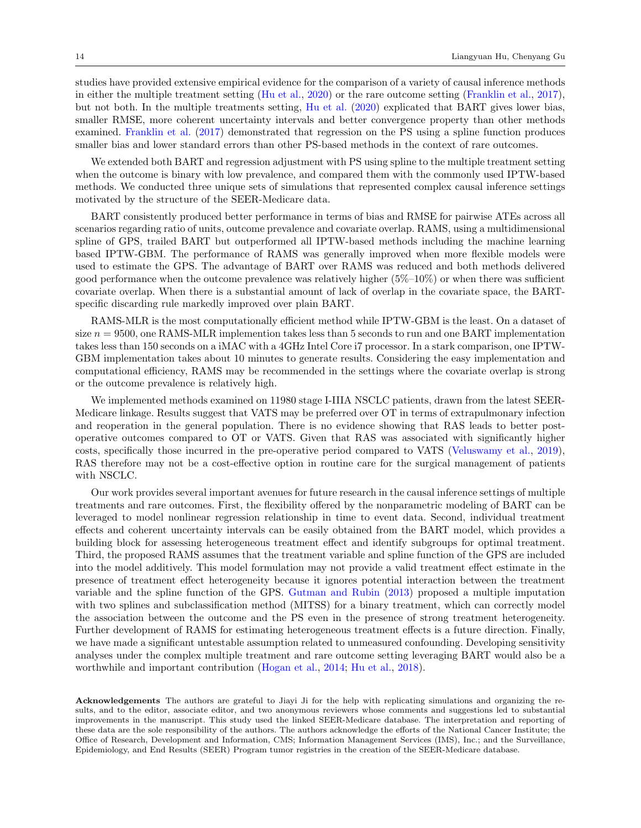studies have provided extensive empirical evidence for the comparison of a variety of causal inference methods in either the multiple treatment setting [\(Hu et al.,](#page-14-5) [2020\)](#page-14-5) or the rare outcome setting [\(Franklin et al.,](#page-14-4) [2017\)](#page-14-4), but not both. In the multiple treatments setting, [Hu et al.](#page-14-5) [\(2020\)](#page-14-5) explicated that BART gives lower bias, smaller RMSE, more coherent uncertainty intervals and better convergence property than other methods examined. [Franklin et al.](#page-14-4) [\(2017\)](#page-14-4) demonstrated that regression on the PS using a spline function produces smaller bias and lower standard errors than other PS-based methods in the context of rare outcomes.

We extended both BART and regression adjustment with PS using spline to the multiple treatment setting when the outcome is binary with low prevalence, and compared them with the commonly used IPTW-based methods. We conducted three unique sets of simulations that represented complex causal inference settings motivated by the structure of the SEER-Medicare data.

BART consistently produced better performance in terms of bias and RMSE for pairwise ATEs across all scenarios regarding ratio of units, outcome prevalence and covariate overlap. RAMS, using a multidimensional spline of GPS, trailed BART but outperformed all IPTW-based methods including the machine learning based IPTW-GBM. The performance of RAMS was generally improved when more flexible models were used to estimate the GPS. The advantage of BART over RAMS was reduced and both methods delivered good performance when the outcome prevalence was relatively higher  $(5\% - 10\%)$  or when there was sufficient covariate overlap. When there is a substantial amount of lack of overlap in the covariate space, the BARTspecific discarding rule markedly improved over plain BART.

RAMS-MLR is the most computationally efficient method while IPTW-GBM is the least. On a dataset of size  $n = 9500$ , one RAMS-MLR implemention takes less than 5 seconds to run and one BART implementation takes less than 150 seconds on a iMAC with a 4GHz Intel Core i7 processor. In a stark comparison, one IPTW-GBM implementation takes about 10 minutes to generate results. Considering the easy implementation and computational efficiency, RAMS may be recommended in the settings where the covariate overlap is strong or the outcome prevalence is relatively high.

We implemented methods examined on 11980 stage I-IIIA NSCLC patients, drawn from the latest SEER-Medicare linkage. Results suggest that VATS may be preferred over OT in terms of extrapulmonary infection and reoperation in the general population. There is no evidence showing that RAS leads to better postoperative outcomes compared to OT or VATS. Given that RAS was associated with significantly higher costs, specifically those incurred in the pre-operative period compared to VATS [\(Veluswamy et al.,](#page-15-1) [2019\)](#page-15-1), RAS therefore may not be a cost-effective option in routine care for the surgical management of patients with NSCLC.

Our work provides several important avenues for future research in the causal inference settings of multiple treatments and rare outcomes. First, the flexibility offered by the nonparametric modeling of BART can be leveraged to model nonlinear regression relationship in time to event data. Second, individual treatment effects and coherent uncertainty intervals can be easily obtained from the BART model, which provides a building block for assessing heterogeneous treatment effect and identify subgroups for optimal treatment. Third, the proposed RAMS assumes that the treatment variable and spline function of the GPS are included into the model additively. This model formulation may not provide a valid treatment effect estimate in the presence of treatment effect heterogeneity because it ignores potential interaction between the treatment variable and the spline function of the GPS. [Gutman and Rubin](#page-14-24) [\(2013\)](#page-14-24) proposed a multiple imputation with two splines and subclassification method (MITSS) for a binary treatment, which can correctly model the association between the outcome and the PS even in the presence of strong treatment heterogeneity. Further development of RAMS for estimating heterogeneous treatment effects is a future direction. Finally, we have made a significant untestable assumption related to unmeasured confounding. Developing sensitivity analyses under the complex multiple treatment and rare outcome setting leveraging BART would also be a worthwhile and important contribution [\(Hogan et al.,](#page-14-26) [2014;](#page-14-26) [Hu et al.,](#page-14-27) [2018\)](#page-14-27).

Acknowledgements The authors are grateful to Jiayi Ji for the help with replicating simulations and organizing the results, and to the editor, associate editor, and two anonymous reviewers whose comments and suggestions led to substantial improvements in the manuscript. This study used the linked SEER-Medicare database. The interpretation and reporting of these data are the sole responsibility of the authors. The authors acknowledge the efforts of the National Cancer Institute; the Office of Research, Development and Information, CMS; Information Management Services (IMS), Inc.; and the Surveillance, Epidemiology, and End Results (SEER) Program tumor registries in the creation of the SEER-Medicare database.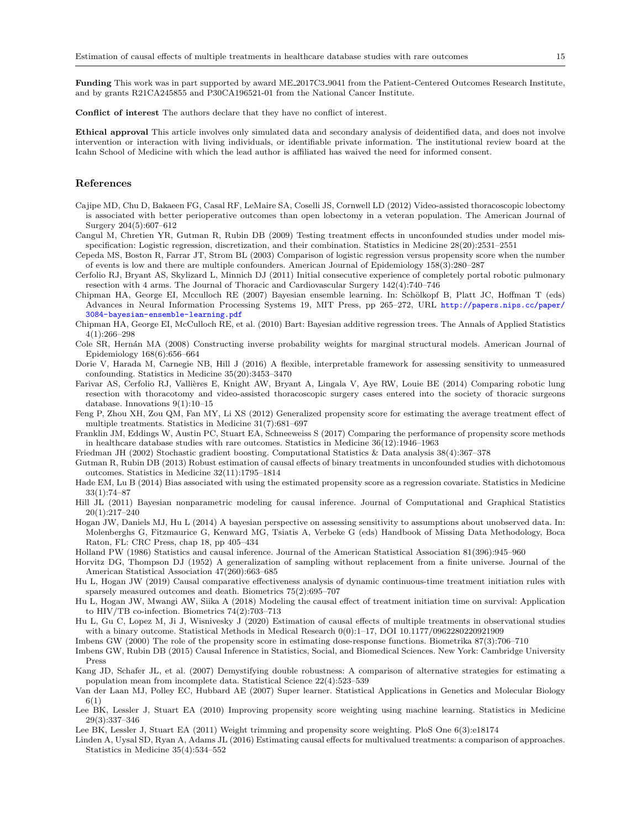Funding This work was in part supported by award ME 2017C3 9041 from the Patient-Centered Outcomes Research Institute, and by grants R21CA245855 and P30CA196521-01 from the National Cancer Institute.

Conflict of interest The authors declare that they have no conflict of interest.

Ethical approval This article involves only simulated data and secondary analysis of deidentified data, and does not involve intervention or interaction with living individuals, or identifiable private information. The institutional review board at the Icahn School of Medicine with which the lead author is affiliated has waived the need for informed consent.

#### References

- <span id="page-14-2"></span>Cajipe MD, Chu D, Bakaeen FG, Casal RF, LeMaire SA, Coselli JS, Cornwell LD (2012) Video-assisted thoracoscopic lobectomy is associated with better perioperative outcomes than open lobectomy in a veteran population. The American Journal of Surgery 204(5):607–612
- <span id="page-14-23"></span>Cangul M, Chretien YR, Gutman R, Rubin DB (2009) Testing treatment effects in unconfounded studies under model misspecification: Logistic regression, discretization, and their combination. Statistics in Medicine 28(20):2531–2551
- <span id="page-14-3"></span>Cepeda MS, Boston R, Farrar JT, Strom BL (2003) Comparison of logistic regression versus propensity score when the number of events is low and there are multiple confounders. American Journal of Epidemiology 158(3):280–287
- <span id="page-14-0"></span>Cerfolio RJ, Bryant AS, Skylizard L, Minnich DJ (2011) Initial consecutive experience of completely portal robotic pulmonary resection with 4 arms. The Journal of Thoracic and Cardiovascular Surgery 142(4):740–746
- <span id="page-14-19"></span>Chipman HA, George EI, Mcculloch RE (2007) Bayesian ensemble learning. In: Schölkopf B, Platt JC, Hoffman T (eds) Advances in Neural Information Processing Systems 19, MIT Press, pp 265–272, URL [http://papers.nips.cc/paper/](http://papers.nips.cc/paper/3084-bayesian-ensemble-learning.pdf) [3084-bayesian-ensemble-learning.pdf](http://papers.nips.cc/paper/3084-bayesian-ensemble-learning.pdf)
- <span id="page-14-20"></span>Chipman HA, George EI, McCulloch RE, et al. (2010) Bart: Bayesian additive regression trees. The Annals of Applied Statistics 4(1):266–298
- <span id="page-14-15"></span>Cole SR, Hernán MA (2008) Constructing inverse probability weights for marginal structural models. American Journal of Epidemiology 168(6):656–664
- <span id="page-14-25"></span>Dorie V, Harada M, Carnegie NB, Hill J (2016) A flexible, interpretable framework for assessing sensitivity to unmeasured confounding. Statistics in Medicine 35(20):3453–3470
- <span id="page-14-1"></span>Farivar AS, Cerfolio RJ, Vallières E, Knight AW, Bryant A, Lingala V, Aye RW, Louie BE (2014) Comparing robotic lung resection with thoracotomy and video-assisted thoracoscopic surgery cases entered into the society of thoracic surgeons database. Innovations 9(1):10–15
- <span id="page-14-6"></span>Feng P, Zhou XH, Zou QM, Fan MY, Li XS (2012) Generalized propensity score for estimating the average treatment effect of multiple treatments. Statistics in Medicine 31(7):681–697
- <span id="page-14-4"></span>Franklin JM, Eddings W, Austin PC, Stuart EA, Schneeweiss S (2017) Comparing the performance of propensity score methods in healthcare database studies with rare outcomes. Statistics in Medicine 36(12):1946–1963
- <span id="page-14-17"></span>Friedman JH (2002) Stochastic gradient boosting. Computational Statistics & Data analysis 38(4):367–378
- <span id="page-14-24"></span>Gutman R, Rubin DB (2013) Robust estimation of causal effects of binary treatments in unconfounded studies with dichotomous outcomes. Statistics in Medicine 32(11):1795–1814
- <span id="page-14-22"></span>Hade EM, Lu B (2014) Bias associated with using the estimated propensity score as a regression covariate. Statistics in Medicine 33(1):74–87
- <span id="page-14-21"></span>Hill JL (2011) Bayesian nonparametric modeling for causal inference. Journal of Computational and Graphical Statistics 20(1):217–240
- <span id="page-14-26"></span>Hogan JW, Daniels MJ, Hu L (2014) A bayesian perspective on assessing sensitivity to assumptions about unobserved data. In: Molenberghs G, Fitzmaurice G, Kenward MG, Tsiatis A, Verbeke G (eds) Handbook of Missing Data Methodology, Boca Raton, FL: CRC Press, chap 18, pp 405–434
- <span id="page-14-9"></span>Holland PW (1986) Statistics and causal inference. Journal of the American Statistical Association 81(396):945–960
- <span id="page-14-12"></span>Horvitz DG, Thompson DJ (1952) A generalization of sampling without replacement from a finite universe. Journal of the American Statistical Association 47(260):663–685
- <span id="page-14-11"></span>Hu L, Hogan JW (2019) Causal comparative effectiveness analysis of dynamic continuous-time treatment initiation rules with sparsely measured outcomes and death. Biometrics 75(2):695–707
- <span id="page-14-27"></span>Hu L, Hogan JW, Mwangi AW, Siika A (2018) Modeling the causal effect of treatment initiation time on survival: Application to HIV/TB co-infection. Biometrics 74(2):703–713
- <span id="page-14-5"></span>Hu L, Gu C, Lopez M, Ji J, Wisnivesky J (2020) Estimation of causal effects of multiple treatments in observational studies with a binary outcome. Statistical Methods in Medical Research 0(0):1–17, DOI 10.1177/0962280220921909
- <span id="page-14-13"></span>Imbens GW (2000) The role of the propensity score in estimating dose-response functions. Biometrika 87(3):706–710
- <span id="page-14-10"></span>Imbens GW, Rubin DB (2015) Causal Inference in Statistics, Social, and Biomedical Sciences. New York: Cambridge University Press
- <span id="page-14-14"></span>Kang JD, Schafer JL, et al. (2007) Demystifying double robustness: A comparison of alternative strategies for estimating a population mean from incomplete data. Statistical Science 22(4):523–539
- <span id="page-14-8"></span>Van der Laan MJ, Polley EC, Hubbard AE (2007) Super learner. Statistical Applications in Genetics and Molecular Biology  $6(1)$
- <span id="page-14-18"></span>Lee BK, Lessler J, Stuart EA (2010) Improving propensity score weighting using machine learning. Statistics in Medicine 29(3):337–346
- <span id="page-14-16"></span>Lee BK, Lessler J, Stuart EA (2011) Weight trimming and propensity score weighting. PloS One 6(3):e18174
- <span id="page-14-7"></span>Linden A, Uysal SD, Ryan A, Adams JL (2016) Estimating causal effects for multivalued treatments: a comparison of approaches. Statistics in Medicine 35(4):534–552